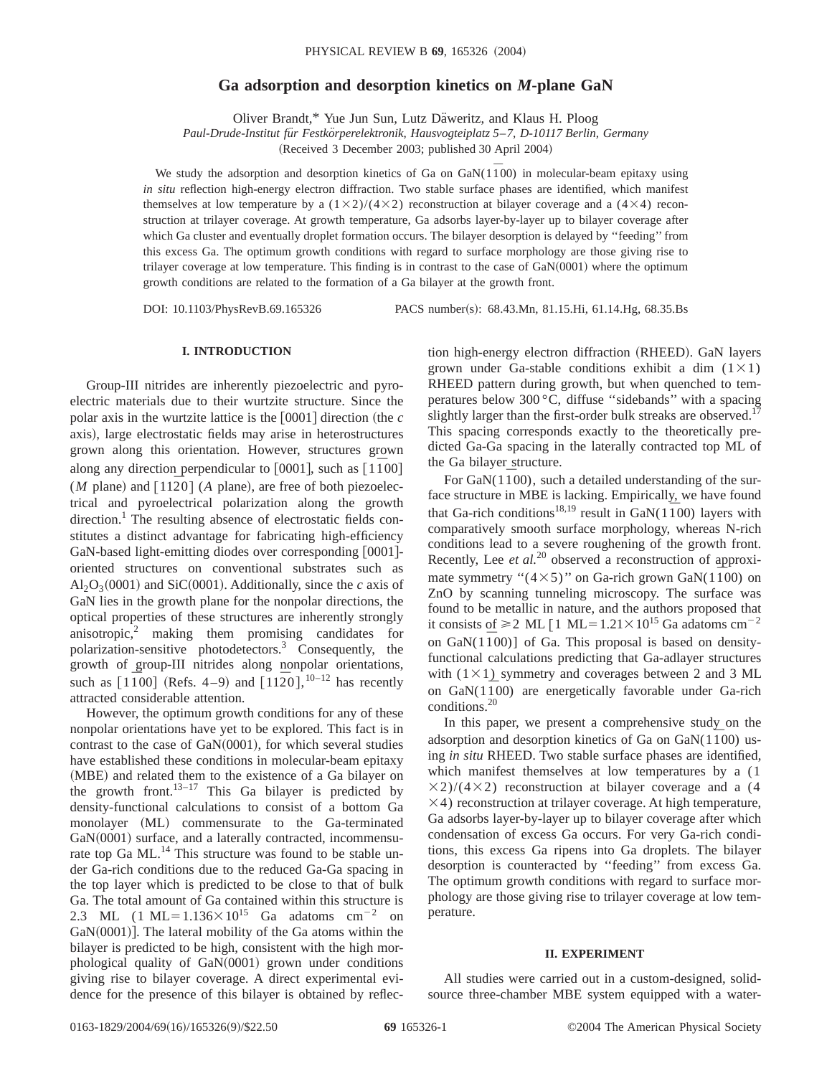# **Ga adsorption and desorption kinetics on** *M***-plane GaN**

Oliver Brandt,\* Yue Jun Sun, Lutz Da¨weritz, and Klaus H. Ploog

*Paul-Drude-Institut fu¨r Festko¨rperelektronik, Hausvogteiplatz 5*–*7, D-10117 Berlin, Germany*

(Received 3 December 2003; published 30 April 2004)

We study the adsorption and desorption kinetics of Ga on GaN(1<sup> $\bar{1}$ 00) in molecular-beam epitaxy using</sup> *in situ* reflection high-energy electron diffraction. Two stable surface phases are identified, which manifest themselves at low temperature by a  $(1\times2)/(4\times2)$  reconstruction at bilayer coverage and a  $(4\times4)$  reconstruction at trilayer coverage. At growth temperature, Ga adsorbs layer-by-layer up to bilayer coverage after which Ga cluster and eventually droplet formation occurs. The bilayer desorption is delayed by ''feeding'' from this excess Ga. The optimum growth conditions with regard to surface morphology are those giving rise to trilayer coverage at low temperature. This finding is in contrast to the case of GaN(0001) where the optimum growth conditions are related to the formation of a Ga bilayer at the growth front.

DOI: 10.1103/PhysRevB.69.165326 PACS number(s): 68.43.Mn, 81.15.Hi, 61.14.Hg, 68.35.Bs

# **I. INTRODUCTION**

Group-III nitrides are inherently piezoelectric and pyroelectric materials due to their wurtzite structure. Since the polar axis in the wurtzite lattice is the  $[0001]$  direction (the *c* axis), large electrostatic fields may arise in heterostructures grown along this orientation. However, structures grown along any direction perpendicular to  $[0001]$ , such as  $[1100]$ (*M* plane) and  $\lceil 1120 \rceil$  (*A* plane), are free of both piezoelectrical and pyroelectrical polarization along the growth  $\alpha$  direction.<sup>1</sup> The resulting absence of electrostatic fields constitutes a distinct advantage for fabricating high-efficiency GaN-based light-emitting diodes over corresponding [0001]oriented structures on conventional substrates such as  $Al_2O_3(0001)$  and SiC(0001). Additionally, since the *c* axis of GaN lies in the growth plane for the nonpolar directions, the optical properties of these structures are inherently strongly anisotropic, $\lambda$  making them promising candidates for polarization-sensitive photodetectors.3 Consequently, the growth of group-III nitrides along nonpolar orientations, such as  $\left[1\overline{1}00\right]$  (Refs. 4–9) and  $\left[11\overline{2}0\right]$ ,  $^{10-12}$  has recently attracted considerable attention.

However, the optimum growth conditions for any of these nonpolar orientations have yet to be explored. This fact is in contrast to the case of  $GaN(0001)$ , for which several studies have established these conditions in molecular-beam epitaxy (MBE) and related them to the existence of a Ga bilayer on the growth front.<sup>13–17</sup> This Ga bilayer is predicted by density-functional calculations to consist of a bottom Ga monolayer (ML) commensurate to the Ga-terminated GaN(0001) surface, and a laterally contracted, incommensurate top Ga ML.<sup>14</sup> This structure was found to be stable under Ga-rich conditions due to the reduced Ga-Ga spacing in the top layer which is predicted to be close to that of bulk Ga. The total amount of Ga contained within this structure is 2.3 ML (1 ML=1.136 $\times$ 10<sup>15</sup> Ga adatoms cm<sup>-2</sup> on  $GaN(0001)$ . The lateral mobility of the Ga atoms within the bilayer is predicted to be high, consistent with the high morphological quality of  $GaN(0001)$  grown under conditions giving rise to bilayer coverage. A direct experimental evidence for the presence of this bilayer is obtained by reflection high-energy electron diffraction (RHEED). GaN layers grown under Ga-stable conditions exhibit a dim  $(1 \times 1)$ RHEED pattern during growth, but when quenched to temperatures below 300 °C, diffuse ''sidebands'' with a spacing slightly larger than the first-order bulk streaks are observed.<sup>1</sup> This spacing corresponds exactly to the theoretically predicted Ga-Ga spacing in the laterally contracted top ML of the Ga bilayer structure.

For GaN(1100), such a detailed understanding of the surface structure in MBE is lacking. Empirically, we have found that Ga-rich conditions<sup>18,19</sup> result in GaN(1<sup> $\overline{1}$ 00) layers with</sup> comparatively smooth surface morphology, whereas N-rich conditions lead to a severe roughening of the growth front. Recently, Lee *et al.*<sup>20</sup> observed a reconstruction of approximate symmetry " $(4 \times 5)$ " on Ga-rich grown GaN(1<sup> $\overline{1}$ 00) on</sup> ZnO by scanning tunneling microscopy. The surface was found to be metallic in nature, and the authors proposed that it consists of  $\geq 2$  ML [1 ML=1.21×10<sup>15</sup> Ga adatoms cm<sup>-2</sup> on GaN(1100)] of Ga. This proposal is based on densityfunctional calculations predicting that Ga-adlayer structures with  $(1 \times 1)$  symmetry and coverages between 2 and 3 ML on GaN(11*¯*00) are energetically favorable under Ga-rich conditions.20

In this paper, we present a comprehensive study on the adsorption and desorption kinetics of Ga on GaN(1100) using *in situ* RHEED. Two stable surface phases are identified, which manifest themselves at low temperatures by a (1  $\frac{\times 2}{4 \times 2}$  reconstruction at bilayer coverage and a (4  $\times$ 4) reconstruction at trilayer coverage. At high temperature, Ga adsorbs layer-by-layer up to bilayer coverage after which condensation of excess Ga occurs. For very Ga-rich conditions, this excess Ga ripens into Ga droplets. The bilayer desorption is counteracted by ''feeding'' from excess Ga. The optimum growth conditions with regard to surface morphology are those giving rise to trilayer coverage at low temperature.

### **II. EXPERIMENT**

All studies were carried out in a custom-designed, solidsource three-chamber MBE system equipped with a water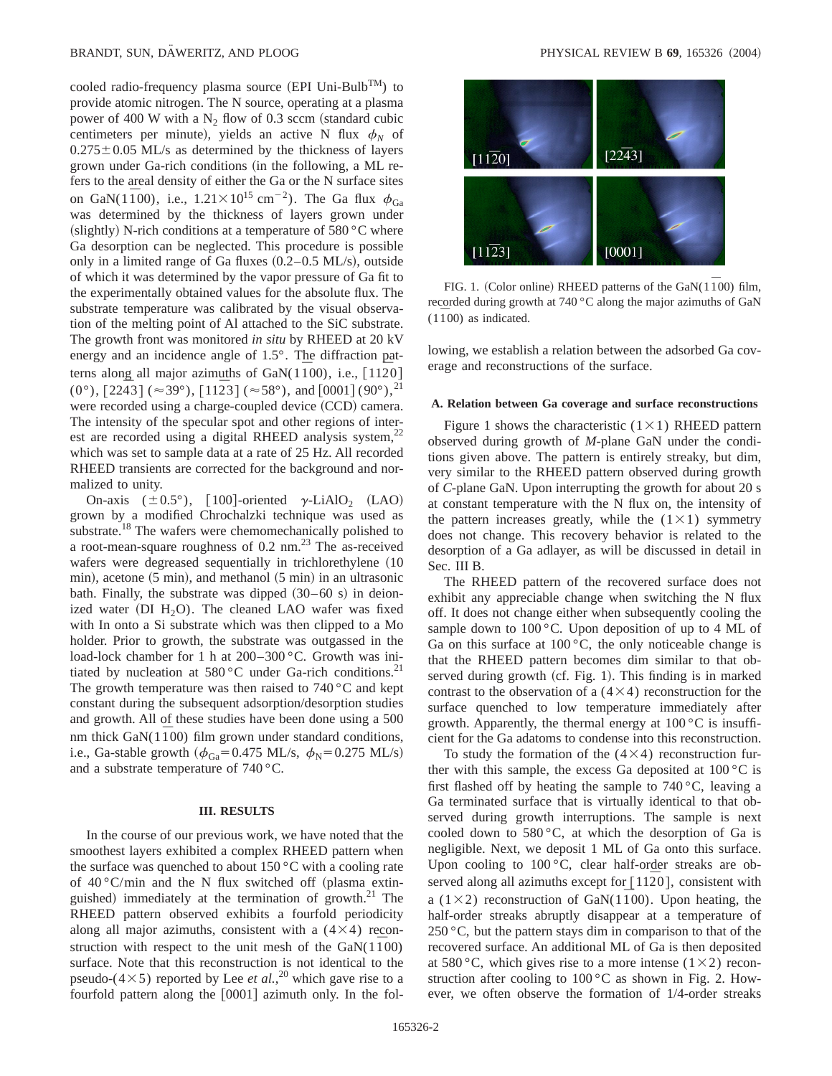cooled radio-frequency plasma source (EPI Uni-Bulb<sup>TM</sup>) to provide atomic nitrogen. The N source, operating at a plasma power of 400 W with a  $N_2$  flow of 0.3 sccm (standard cubic centimeters per minute), yields an active N flux  $\phi_N$  of  $0.275 \pm 0.05$  ML/s as determined by the thickness of layers grown under Ga-rich conditions (in the following, a ML refers to the areal density of either the Ga or the N surface sites on GaN(1<sup>1</sup><sub>0</sub><sup>0</sup>), i.e., 1.21 $\times$ 10<sup>15</sup> cm<sup>-2</sup>). The Ga flux  $\phi_{Ga}$ was determined by the thickness of layers grown under (slightly) N-rich conditions at a temperature of  $580\,^{\circ}\text{C}$  where Ga desorption can be neglected. This procedure is possible only in a limited range of Ga fluxes  $(0.2-0.5 \text{ ML/s})$ , outside of which it was determined by the vapor pressure of Ga fit to the experimentally obtained values for the absolute flux. The substrate temperature was calibrated by the visual observation of the melting point of Al attached to the SiC substrate. The growth front was monitored *in situ* by RHEED at 20 kV energy and an incidence angle of 1.5°. The diffraction patterns along all major azimuths of GaN( $1\overline{1}00$ ), i.e.,  $\overline{1120}$  $(0^{\circ})$ ,  $[22\overline{4}3]$  ( $\approx 39^{\circ}$ ),  $[11\overline{2}3]$  ( $\approx 58^{\circ}$ ), and  $[0001]$  (90°),<sup>21</sup> were recorded using a charge-coupled device (CCD) camera. The intensity of the specular spot and other regions of interest are recorded using a digital RHEED analysis system,  $22$ which was set to sample data at a rate of 25 Hz. All recorded RHEED transients are corrected for the background and normalized to unity.

On-axis  $(\pm 0.5^{\circ})$ , [100]-oriented  $\gamma$ -LiAlO<sub>2</sub> (LAO) grown by a modified Chrochalzki technique was used as substrate.<sup>18</sup> The wafers were chemomechanically polished to a root-mean-square roughness of  $0.2 \text{ nm}^{23}$  The as-received wafers were degreased sequentially in trichlorethylene  $(10$  $min$ ), acetone  $(5 min)$ , and methanol  $(5 min)$  in an ultrasonic bath. Finally, the substrate was dipped  $(30–60 \text{ s})$  in deionized water  $(DI H<sub>2</sub>O)$ . The cleaned LAO wafer was fixed with In onto a Si substrate which was then clipped to a Mo holder. Prior to growth, the substrate was outgassed in the load-lock chamber for 1 h at 200–300 °C. Growth was initiated by nucleation at 580 °C under Ga-rich conditions.<sup>21</sup> The growth temperature was then raised to  $740\degree$ C and kept constant during the subsequent adsorption/desorption studies and growth. All of these studies have been done using a 500 nm thick GaN(1100) film grown under standard conditions, i.e., Ga-stable growth ( $\phi_{Ga}$ =0.475 ML/s,  $\phi_{N}$ =0.275 ML/s) and a substrate temperature of 740 °C.

#### **III. RESULTS**

In the course of our previous work, we have noted that the smoothest layers exhibited a complex RHEED pattern when the surface was quenched to about  $150^{\circ}$ C with a cooling rate of  $40^{\circ}$ C/min and the N flux switched off (plasma extinguished) immediately at the termination of growth.<sup>21</sup> The RHEED pattern observed exhibits a fourfold periodicity along all major azimuths, consistent with a  $(4\times4)$  reconstruction with respect to the unit mesh of the  $GaN(1100)$ surface. Note that this reconstruction is not identical to the pseudo- $(4 \times 5)$  reported by Lee *et al.*,<sup>20</sup> which gave rise to a fourfold pattern along the  $[0001]$  azimuth only. In the fol-



FIG. 1. (Color online) RHEED patterns of the GaN(1100) film, recorded during growth at 740 °C along the major azimuths of GaN (11*¯*00) as indicated.

lowing, we establish a relation between the adsorbed Ga coverage and reconstructions of the surface.

#### **A. Relation between Ga coverage and surface reconstructions**

Figure 1 shows the characteristic  $(1 \times 1)$  RHEED pattern observed during growth of *M*-plane GaN under the conditions given above. The pattern is entirely streaky, but dim, very similar to the RHEED pattern observed during growth of *C*-plane GaN. Upon interrupting the growth for about 20 s at constant temperature with the N flux on, the intensity of the pattern increases greatly, while the  $(1\times1)$  symmetry does not change. This recovery behavior is related to the desorption of a Ga adlayer, as will be discussed in detail in Sec. III B.

The RHEED pattern of the recovered surface does not exhibit any appreciable change when switching the N flux off. It does not change either when subsequently cooling the sample down to  $100^{\circ}$ C. Upon deposition of up to 4 ML of Ga on this surface at  $100^{\circ}$ C, the only noticeable change is that the RHEED pattern becomes dim similar to that observed during growth (cf. Fig. 1). This finding is in marked contrast to the observation of a  $(4\times4)$  reconstruction for the surface quenched to low temperature immediately after growth. Apparently, the thermal energy at  $100\degree C$  is insufficient for the Ga adatoms to condense into this reconstruction.

To study the formation of the  $(4\times4)$  reconstruction further with this sample, the excess Ga deposited at  $100\degree\text{C}$  is first flashed off by heating the sample to 740 °C, leaving a Ga terminated surface that is virtually identical to that observed during growth interruptions. The sample is next cooled down to  $580\,^{\circ}$ C, at which the desorption of Ga is negligible. Next, we deposit 1 ML of Ga onto this surface. Upon cooling to 100 °C, clear half-order streaks are observed along all azimuths except for [1120], consistent with a  $(1\times2)$  reconstruction of GaN $(1100)$ . Upon heating, the half-order streaks abruptly disappear at a temperature of  $250\degree C$ , but the pattern stays dim in comparison to that of the recovered surface. An additional ML of Ga is then deposited at 580 °C, which gives rise to a more intense ( $1\times2$ ) reconstruction after cooling to  $100\degree$ C as shown in Fig. 2. However, we often observe the formation of 1/4-order streaks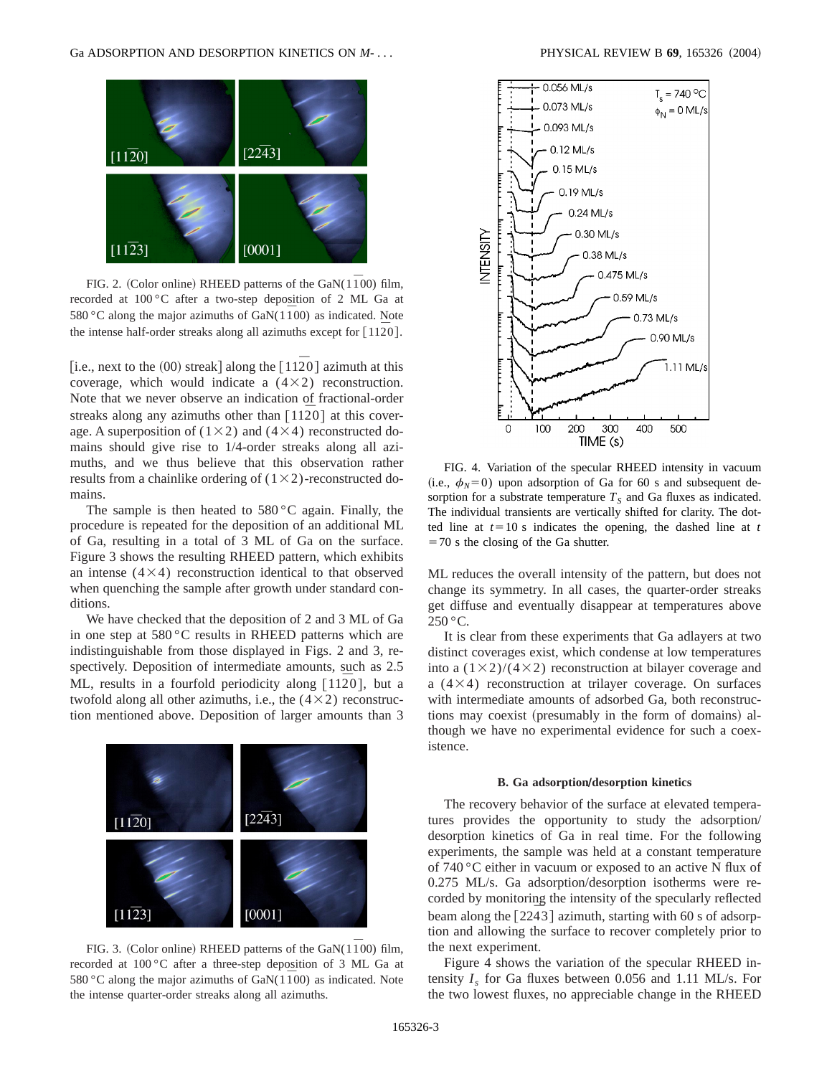

FIG. 2. (Color online) RHEED patterns of the GaN(1<sup>1</sup><sub>00</sub>) film, recorded at 100 °C after a two-step deposition of 2 ML Ga at 580 °C along the major azimuths of GaN( $1\overline{1}00$ ) as indicated. Note the intense half-order streaks along all azimuths except for  $\lceil 1120 \rceil$ .

[i.e., next to the  $(00)$  streak] along the  $\lceil 1120 \rceil$  azimuth at this coverage, which would indicate a  $(4 \times 2)$  reconstruction. Note that we never observe an indication of fractional-order streaks along any azimuths other than  $\lceil 1120 \rceil$  at this coverage. A superposition of  $(1 \times 2)$  and  $(4 \times 4)$  reconstructed domains should give rise to 1/4-order streaks along all azimuths, and we thus believe that this observation rather results from a chainlike ordering of  $(1\times2)$ -reconstructed domains.

The sample is then heated to  $580\degree$ C again. Finally, the procedure is repeated for the deposition of an additional ML of Ga, resulting in a total of 3 ML of Ga on the surface. Figure 3 shows the resulting RHEED pattern, which exhibits an intense  $(4\times4)$  reconstruction identical to that observed when quenching the sample after growth under standard conditions.

We have checked that the deposition of 2 and 3 ML of Ga in one step at 580 °C results in RHEED patterns which are indistinguishable from those displayed in Figs. 2 and 3, respectively. Deposition of intermediate amounts, such as 2.5 ML, results in a fourfold periodicity along [1120], but a twofold along all other azimuths, i.e., the  $(4\times2)$  reconstruction mentioned above. Deposition of larger amounts than 3



FIG. 3. (Color online) RHEED patterns of the GaN(1100) film, recorded at 100 °C after a three-step deposition of 3 ML Ga at 580 °C along the major azimuths of GaN(1100) as indicated. Note the intense quarter-order streaks along all azimuths.



FIG. 4. Variation of the specular RHEED intensity in vacuum (i.e.,  $\phi_N = 0$ ) upon adsorption of Ga for 60 s and subsequent desorption for a substrate temperature  $T<sub>S</sub>$  and Ga fluxes as indicated. The individual transients are vertically shifted for clarity. The dotted line at  $t=10$  s indicates the opening, the dashed line at  $t$  $=70$  s the closing of the Ga shutter.

ML reduces the overall intensity of the pattern, but does not change its symmetry. In all cases, the quarter-order streaks get diffuse and eventually disappear at temperatures above  $250^{\circ}$ C.

It is clear from these experiments that Ga adlayers at two distinct coverages exist, which condense at low temperatures into a  $(1\times2)/(4\times2)$  reconstruction at bilayer coverage and a  $(4\times4)$  reconstruction at trilayer coverage. On surfaces with intermediate amounts of adsorbed Ga, both reconstructions may coexist (presumably in the form of domains) although we have no experimental evidence for such a coexistence.

## **B.** Ga adsorption/desorption kinetics

The recovery behavior of the surface at elevated temperatures provides the opportunity to study the adsorption/ desorption kinetics of Ga in real time. For the following experiments, the sample was held at a constant temperature of 740 °C either in vacuum or exposed to an active N flux of 0.275 ML/s. Ga adsorption/desorption isotherms were recorded by monitoring the intensity of the specularly reflected beam along the  $\lceil 2243 \rceil$  azimuth, starting with 60 s of adsorption and allowing the surface to recover completely prior to the next experiment.

Figure 4 shows the variation of the specular RHEED intensity *Is* for Ga fluxes between 0.056 and 1.11 ML/s. For the two lowest fluxes, no appreciable change in the RHEED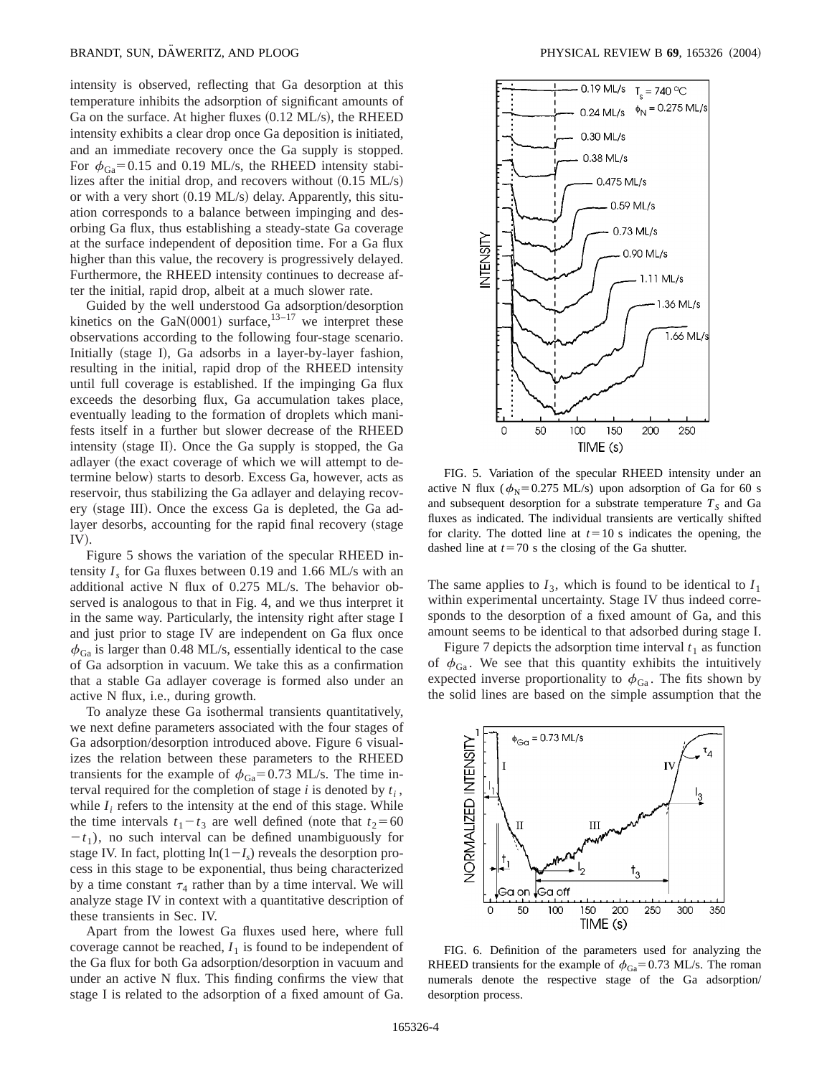intensity is observed, reflecting that Ga desorption at this temperature inhibits the adsorption of significant amounts of Ga on the surface. At higher fluxes  $(0.12 \text{ ML/s})$ , the RHEED intensity exhibits a clear drop once Ga deposition is initiated, and an immediate recovery once the Ga supply is stopped. For  $\phi_{Ga}$ =0.15 and 0.19 ML/s, the RHEED intensity stabilizes after the initial drop, and recovers without  $(0.15 \text{ ML/s})$ or with a very short  $(0.19 \text{ ML/s})$  delay. Apparently, this situation corresponds to a balance between impinging and desorbing Ga flux, thus establishing a steady-state Ga coverage at the surface independent of deposition time. For a Ga flux higher than this value, the recovery is progressively delayed. Furthermore, the RHEED intensity continues to decrease after the initial, rapid drop, albeit at a much slower rate.

Guided by the well understood Ga adsorption/desorption kinetics on the GaN $(0001)$  surface,<sup>13–17</sup> we interpret these observations according to the following four-stage scenario. Initially (stage I), Ga adsorbs in a layer-by-layer fashion, resulting in the initial, rapid drop of the RHEED intensity until full coverage is established. If the impinging Ga flux exceeds the desorbing flux, Ga accumulation takes place, eventually leading to the formation of droplets which manifests itself in a further but slower decrease of the RHEED intensity (stage II). Once the Ga supply is stopped, the Ga adlayer (the exact coverage of which we will attempt to determine below) starts to desorb. Excess Ga, however, acts as reservoir, thus stabilizing the Ga adlayer and delaying recovery (stage III). Once the excess Ga is depleted, the Ga adlayer desorbs, accounting for the rapid final recovery (stage  $IV$ ).

Figure 5 shows the variation of the specular RHEED intensity  $I_s$  for Ga fluxes between 0.19 and 1.66 ML/s with an additional active N flux of 0.275 ML/s. The behavior observed is analogous to that in Fig. 4, and we thus interpret it in the same way. Particularly, the intensity right after stage I and just prior to stage IV are independent on Ga flux once  $\phi_{Ga}$  is larger than 0.48 ML/s, essentially identical to the case of Ga adsorption in vacuum. We take this as a confirmation that a stable Ga adlayer coverage is formed also under an active N flux, i.e., during growth.

To analyze these Ga isothermal transients quantitatively, we next define parameters associated with the four stages of Ga adsorption/desorption introduced above. Figure 6 visualizes the relation between these parameters to the RHEED transients for the example of  $\phi_{Ga}$ =0.73 ML/s. The time interval required for the completion of stage  $i$  is denoted by  $t_i$ , while  $I_i$  refers to the intensity at the end of this stage. While the time intervals  $t_1-t_3$  are well defined (note that  $t_2=60$  $-t_1$ ), no such interval can be defined unambiguously for stage IV. In fact, plotting  $ln(1-I_s)$  reveals the desorption process in this stage to be exponential, thus being characterized by a time constant  $\tau_4$  rather than by a time interval. We will analyze stage IV in context with a quantitative description of these transients in Sec. IV.

Apart from the lowest Ga fluxes used here, where full coverage cannot be reached,  $I_1$  is found to be independent of the Ga flux for both Ga adsorption/desorption in vacuum and under an active N flux. This finding confirms the view that stage I is related to the adsorption of a fixed amount of Ga.



FIG. 5. Variation of the specular RHEED intensity under an active N flux ( $\phi$ <sub>N</sub>=0.275 ML/s) upon adsorption of Ga for 60 s and subsequent desorption for a substrate temperature  $T<sub>S</sub>$  and Ga fluxes as indicated. The individual transients are vertically shifted for clarity. The dotted line at  $t=10$  s indicates the opening, the dashed line at  $t=70$  s the closing of the Ga shutter.

The same applies to  $I_3$ , which is found to be identical to  $I_1$ within experimental uncertainty. Stage IV thus indeed corresponds to the desorption of a fixed amount of Ga, and this amount seems to be identical to that adsorbed during stage I.

Figure 7 depicts the adsorption time interval  $t_1$  as function of  $\phi_{Ga}$ . We see that this quantity exhibits the intuitively expected inverse proportionality to  $\phi_{Ga}$ . The fits shown by the solid lines are based on the simple assumption that the



FIG. 6. Definition of the parameters used for analyzing the RHEED transients for the example of  $\phi_{Ga} = 0.73$  ML/s. The roman numerals denote the respective stage of the Ga adsorption/ desorption process.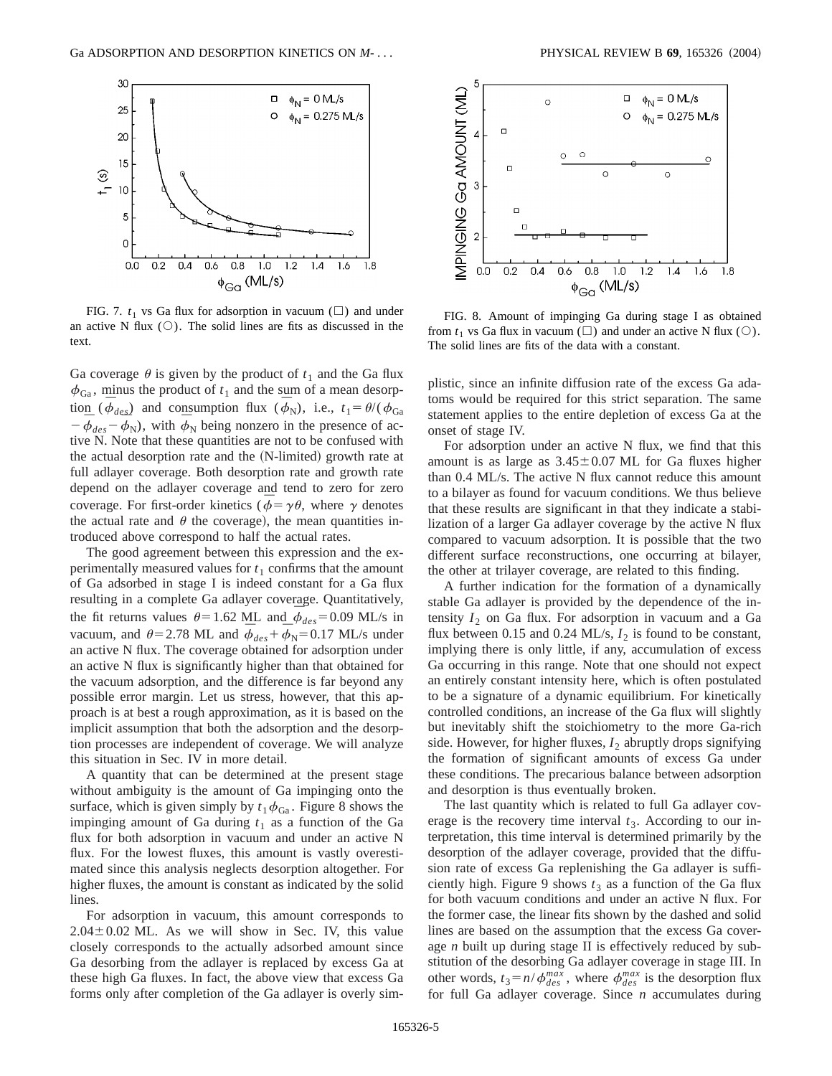

FIG. 7.  $t_1$  vs Ga flux for adsorption in vacuum ( $\Box$ ) and under an active N flux  $(O)$ . The solid lines are fits as discussed in the text.

Ga coverage  $\theta$  is given by the product of  $t_1$  and the Ga flux  $\phi_{Ga}$ , minus the product of  $t_1$  and the sum of a mean desorp- $\overline{\phi}_{Ga}$ , thinks the product of  $i_1$  and the sum of a fitual descrip-<br>tion  $(\overline{\phi}_{de})$  and consumption flux  $(\overline{\phi}_N)$ , i.e.,  $t_1 = \theta/(\phi_{Ga})$  $-\bar{\phi}_{des} - \bar{\phi}_N$ , with  $\bar{\phi}_N$  being nonzero in the presence of active N. Note that these quantities are not to be confused with the actual desorption rate and the  $(N$ -limited) growth rate at full adlayer coverage. Both desorption rate and growth rate depend on the adlayer coverage and tend to zero for zero coverage. For first-order kinetics ( $\phi = \gamma \theta$ , where  $\gamma$  denotes the actual rate and  $\theta$  the coverage), the mean quantities introduced above correspond to half the actual rates.

The good agreement between this expression and the experimentally measured values for  $t_1$  confirms that the amount of Ga adsorbed in stage I is indeed constant for a Ga flux resulting in a complete Ga adlayer coverage. Quantitatively, the fit returns values  $\theta$  = 1.62 ML and  $\bar{\phi}_{des}$  = 0.09 ML/s in vacuum, and  $\theta = 2.78$  ML and  $\bar{\phi}_{des} + \bar{\phi}_N = 0.17$  ML/s under an active N flux. The coverage obtained for adsorption under an active N flux is significantly higher than that obtained for the vacuum adsorption, and the difference is far beyond any possible error margin. Let us stress, however, that this approach is at best a rough approximation, as it is based on the implicit assumption that both the adsorption and the desorption processes are independent of coverage. We will analyze this situation in Sec. IV in more detail.

A quantity that can be determined at the present stage without ambiguity is the amount of Ga impinging onto the surface, which is given simply by  $t_1 \phi_{Ga}$ . Figure 8 shows the impinging amount of Ga during  $t_1$  as a function of the Ga flux for both adsorption in vacuum and under an active N flux. For the lowest fluxes, this amount is vastly overestimated since this analysis neglects desorption altogether. For higher fluxes, the amount is constant as indicated by the solid lines.

For adsorption in vacuum, this amount corresponds to  $2.04 \pm 0.02$  ML. As we will show in Sec. IV, this value closely corresponds to the actually adsorbed amount since Ga desorbing from the adlayer is replaced by excess Ga at these high Ga fluxes. In fact, the above view that excess Ga forms only after completion of the Ga adlayer is overly sim-



FIG. 8. Amount of impinging Ga during stage I as obtained from  $t_1$  vs Ga flux in vacuum ( $\square$ ) and under an active N flux ( $\bigcirc$ ). The solid lines are fits of the data with a constant.

plistic, since an infinite diffusion rate of the excess Ga adatoms would be required for this strict separation. The same statement applies to the entire depletion of excess Ga at the onset of stage IV.

For adsorption under an active N flux, we find that this amount is as large as  $3.45 \pm 0.07$  ML for Ga fluxes higher than 0.4 ML/s. The active N flux cannot reduce this amount to a bilayer as found for vacuum conditions. We thus believe that these results are significant in that they indicate a stabilization of a larger Ga adlayer coverage by the active N flux compared to vacuum adsorption. It is possible that the two different surface reconstructions, one occurring at bilayer, the other at trilayer coverage, are related to this finding.

A further indication for the formation of a dynamically stable Ga adlayer is provided by the dependence of the intensity  $I_2$  on Ga flux. For adsorption in vacuum and a Ga flux between 0.15 and 0.24 ML/s,  $I_2$  is found to be constant, implying there is only little, if any, accumulation of excess Ga occurring in this range. Note that one should not expect an entirely constant intensity here, which is often postulated to be a signature of a dynamic equilibrium. For kinetically controlled conditions, an increase of the Ga flux will slightly but inevitably shift the stoichiometry to the more Ga-rich side. However, for higher fluxes,  $I_2$  abruptly drops signifying the formation of significant amounts of excess Ga under these conditions. The precarious balance between adsorption and desorption is thus eventually broken.

The last quantity which is related to full Ga adlayer coverage is the recovery time interval  $t_3$ . According to our interpretation, this time interval is determined primarily by the desorption of the adlayer coverage, provided that the diffusion rate of excess Ga replenishing the Ga adlayer is sufficiently high. Figure 9 shows  $t_3$  as a function of the Ga flux for both vacuum conditions and under an active N flux. For the former case, the linear fits shown by the dashed and solid lines are based on the assumption that the excess Ga coverage *n* built up during stage II is effectively reduced by substitution of the desorbing Ga adlayer coverage in stage III. In other words,  $t_3 = n/\phi_{des}^{max}$ , where  $\phi_{des}^{max}$  is the desorption flux for full Ga adlayer coverage. Since *n* accumulates during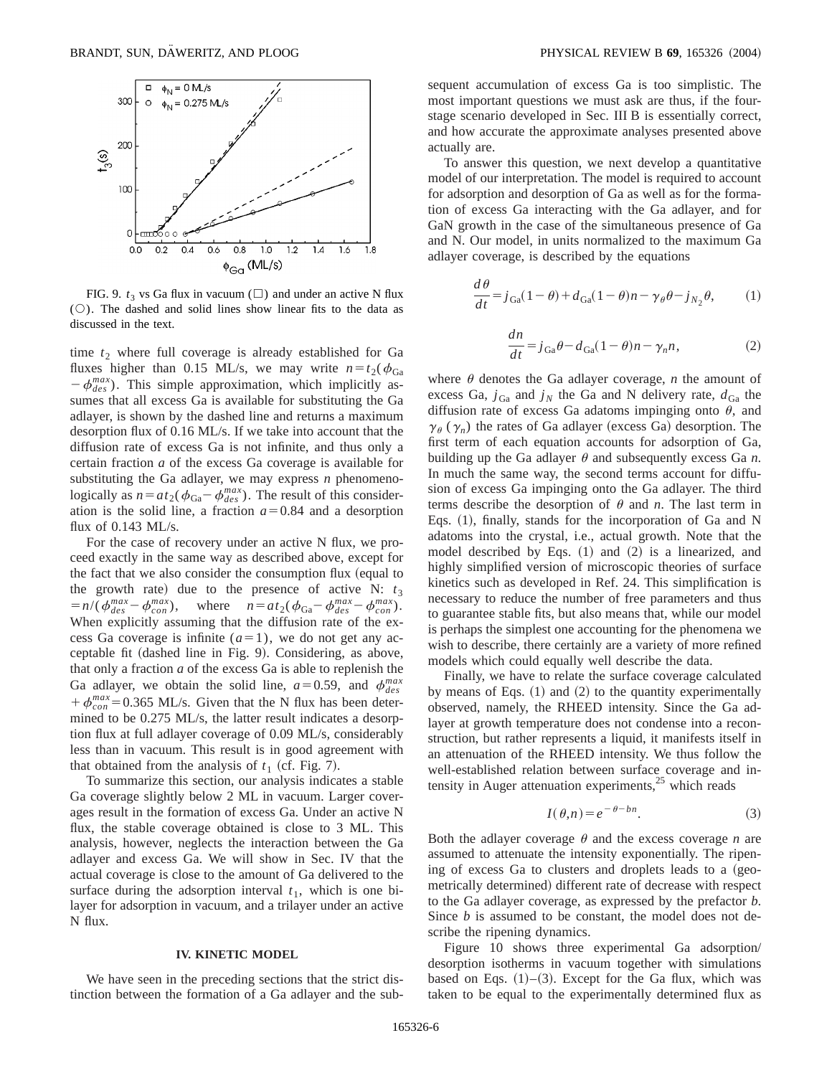

FIG. 9.  $t_3$  vs Ga flux in vacuum ( $\Box$ ) and under an active N flux  $( \circ )$ . The dashed and solid lines show linear fits to the data as discussed in the text.

time  $t_2$  where full coverage is already established for Ga fluxes higher than 0.15 ML/s, we may write  $n = t_2(\phi_{Ga})$  $-\phi_{des}^{max}$ ). This simple approximation, which implicitly assumes that all excess Ga is available for substituting the Ga adlayer, is shown by the dashed line and returns a maximum desorption flux of 0.16 ML/s. If we take into account that the diffusion rate of excess Ga is not infinite, and thus only a certain fraction *a* of the excess Ga coverage is available for substituting the Ga adlayer, we may express *n* phenomenologically as  $n = at_2(\phi_{Ga} - \phi_{des}^{max})$ . The result of this consideration is the solid line, a fraction  $a=0.84$  and a desorption flux of  $0.143$  ML/s.

For the case of recovery under an active N flux, we proceed exactly in the same way as described above, except for the fact that we also consider the consumption flux (equal to the growth rate) due to the presence of active N:  $t_3$  $= n/(\phi_{des}^{max} - \phi_{con}^{max}),$  where  $n = at_2(\phi_{Ga} - \phi_{des}^{max} - \phi_{con}^{max}).$ When explicitly assuming that the diffusion rate of the excess Ga coverage is infinite  $(a=1)$ , we do not get any acceptable fit (dashed line in Fig. 9). Considering, as above, that only a fraction *a* of the excess Ga is able to replenish the Ga adlayer, we obtain the solid line,  $a=0.59$ , and  $\phi_{des}^{max}$  $+ \phi_{con}^{max}$  = 0.365 ML/s. Given that the N flux has been determined to be 0.275 ML/s, the latter result indicates a desorption flux at full adlayer coverage of 0.09 ML/s, considerably less than in vacuum. This result is in good agreement with that obtained from the analysis of  $t_1$  (cf. Fig. 7).

To summarize this section, our analysis indicates a stable Ga coverage slightly below 2 ML in vacuum. Larger coverages result in the formation of excess Ga. Under an active N flux, the stable coverage obtained is close to 3 ML. This analysis, however, neglects the interaction between the Ga adlayer and excess Ga. We will show in Sec. IV that the actual coverage is close to the amount of Ga delivered to the surface during the adsorption interval  $t<sub>1</sub>$ , which is one bilayer for adsorption in vacuum, and a trilayer under an active N flux.

### **IV. KINETIC MODEL**

We have seen in the preceding sections that the strict distinction between the formation of a Ga adlayer and the subsequent accumulation of excess Ga is too simplistic. The most important questions we must ask are thus, if the fourstage scenario developed in Sec. III B is essentially correct, and how accurate the approximate analyses presented above actually are.

To answer this question, we next develop a quantitative model of our interpretation. The model is required to account for adsorption and desorption of Ga as well as for the formation of excess Ga interacting with the Ga adlayer, and for GaN growth in the case of the simultaneous presence of Ga and N. Our model, in units normalized to the maximum Ga adlayer coverage, is described by the equations

$$
\frac{d\theta}{dt} = j_{Ga}(1-\theta) + d_{Ga}(1-\theta)n - \gamma_{\theta}\theta - j_{N_2}\theta, \qquad (1)
$$

$$
\frac{dn}{dt} = j_{Ga}\theta - d_{Ga}(1 - \theta)n - \gamma_n n,\tag{2}
$$

where  $\theta$  denotes the Ga adlayer coverage, *n* the amount of excess Ga,  $j_{Ga}$  and  $j_N$  the Ga and N delivery rate,  $d_{Ga}$  the diffusion rate of excess Ga adatoms impinging onto  $\theta$ , and  $\gamma_{\theta}$  ( $\gamma_{n}$ ) the rates of Ga adlayer (excess Ga) desorption. The first term of each equation accounts for adsorption of Ga, building up the Ga adlayer  $\theta$  and subsequently excess Ga *n*. In much the same way, the second terms account for diffusion of excess Ga impinging onto the Ga adlayer. The third terms describe the desorption of  $\theta$  and *n*. The last term in Eqs.  $(1)$ , finally, stands for the incorporation of Ga and N adatoms into the crystal, i.e., actual growth. Note that the model described by Eqs.  $(1)$  and  $(2)$  is a linearized, and highly simplified version of microscopic theories of surface kinetics such as developed in Ref. 24. This simplification is necessary to reduce the number of free parameters and thus to guarantee stable fits, but also means that, while our model is perhaps the simplest one accounting for the phenomena we wish to describe, there certainly are a variety of more refined models which could equally well describe the data.

Finally, we have to relate the surface coverage calculated by means of Eqs.  $(1)$  and  $(2)$  to the quantity experimentally observed, namely, the RHEED intensity. Since the Ga adlayer at growth temperature does not condense into a reconstruction, but rather represents a liquid, it manifests itself in an attenuation of the RHEED intensity. We thus follow the well-established relation between surface coverage and intensity in Auger attenuation experiments, $25$  which reads

$$
I(\theta, n) = e^{-\theta - bn}.
$$
 (3)

Both the adlayer coverage  $\theta$  and the excess coverage *n* are assumed to attenuate the intensity exponentially. The ripening of excess Ga to clusters and droplets leads to a (geometrically determined) different rate of decrease with respect to the Ga adlayer coverage, as expressed by the prefactor *b*. Since *b* is assumed to be constant, the model does not describe the ripening dynamics.

Figure 10 shows three experimental Ga adsorption/ desorption isotherms in vacuum together with simulations based on Eqs.  $(1)$ – $(3)$ . Except for the Ga flux, which was taken to be equal to the experimentally determined flux as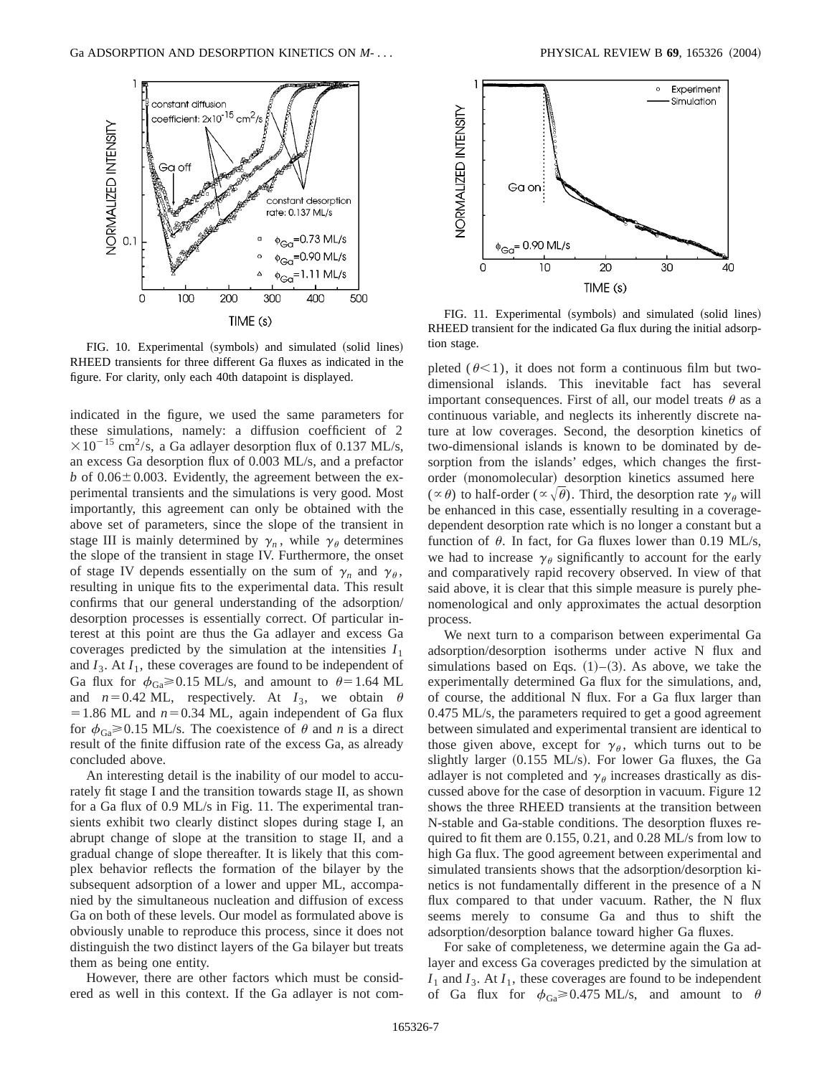

FIG. 10. Experimental (symbols) and simulated (solid lines) RHEED transients for three different Ga fluxes as indicated in the figure. For clarity, only each 40th datapoint is displayed.

indicated in the figure, we used the same parameters for these simulations, namely: a diffusion coefficient of 2  $\times 10^{-15}$  cm<sup>2</sup>/s, a Ga adlayer desorption flux of 0.137 ML/s, an excess Ga desorption flux of 0.003 ML/s, and a prefactor *b* of  $0.06 \pm 0.003$ . Evidently, the agreement between the experimental transients and the simulations is very good. Most importantly, this agreement can only be obtained with the above set of parameters, since the slope of the transient in stage III is mainly determined by  $\gamma_n$ , while  $\gamma_\theta$  determines the slope of the transient in stage IV. Furthermore, the onset of stage IV depends essentially on the sum of  $\gamma_n$  and  $\gamma_\theta$ , resulting in unique fits to the experimental data. This result confirms that our general understanding of the adsorption/ desorption processes is essentially correct. Of particular interest at this point are thus the Ga adlayer and excess Ga coverages predicted by the simulation at the intensities  $I_1$ and  $I_3$ . At  $I_1$ , these coverages are found to be independent of Ga flux for  $\phi_{Ga} \ge 0.15$  ML/s, and amount to  $\theta = 1.64$  ML and  $n=0.42$  ML, respectively. At  $I_3$ , we obtain  $\theta$  $=1.86$  ML and  $n=0.34$  ML, again independent of Ga flux for  $\phi_{Ga} \ge 0.15$  ML/s. The coexistence of  $\theta$  and *n* is a direct result of the finite diffusion rate of the excess Ga, as already concluded above.

An interesting detail is the inability of our model to accurately fit stage I and the transition towards stage II, as shown for a Ga flux of 0.9 ML/s in Fig. 11. The experimental transients exhibit two clearly distinct slopes during stage I, an abrupt change of slope at the transition to stage II, and a gradual change of slope thereafter. It is likely that this complex behavior reflects the formation of the bilayer by the subsequent adsorption of a lower and upper ML, accompanied by the simultaneous nucleation and diffusion of excess Ga on both of these levels. Our model as formulated above is obviously unable to reproduce this process, since it does not distinguish the two distinct layers of the Ga bilayer but treats them as being one entity.

However, there are other factors which must be considered as well in this context. If the Ga adlayer is not com-



FIG. 11. Experimental (symbols) and simulated (solid lines) RHEED transient for the indicated Ga flux during the initial adsorption stage.

pleted  $(\theta \leq 1)$ , it does not form a continuous film but twodimensional islands. This inevitable fact has several important consequences. First of all, our model treats  $\theta$  as a continuous variable, and neglects its inherently discrete nature at low coverages. Second, the desorption kinetics of two-dimensional islands is known to be dominated by desorption from the islands' edges, which changes the firstorder (monomolecular) desorption kinetics assumed here  $({\alpha \theta})$  to half-order  $({\alpha \sqrt{\theta}})$ . Third, the desorption rate  $\gamma_{\theta}$  will be enhanced in this case, essentially resulting in a coveragedependent desorption rate which is no longer a constant but a function of  $\theta$ . In fact, for Ga fluxes lower than 0.19 ML/s, we had to increase  $\gamma_{\theta}$  significantly to account for the early and comparatively rapid recovery observed. In view of that said above, it is clear that this simple measure is purely phenomenological and only approximates the actual desorption process.

We next turn to a comparison between experimental Ga adsorption/desorption isotherms under active N flux and simulations based on Eqs.  $(1)$ – $(3)$ . As above, we take the experimentally determined Ga flux for the simulations, and, of course, the additional N flux. For a Ga flux larger than 0.475 ML/s, the parameters required to get a good agreement between simulated and experimental transient are identical to those given above, except for  $\gamma_{\theta}$ , which turns out to be slightly larger (0.155 ML/s). For lower Ga fluxes, the Ga adlayer is not completed and  $\gamma_\theta$  increases drastically as discussed above for the case of desorption in vacuum. Figure 12 shows the three RHEED transients at the transition between N-stable and Ga-stable conditions. The desorption fluxes required to fit them are 0.155, 0.21, and 0.28 ML/s from low to high Ga flux. The good agreement between experimental and simulated transients shows that the adsorption/desorption kinetics is not fundamentally different in the presence of a N flux compared to that under vacuum. Rather, the N flux seems merely to consume Ga and thus to shift the adsorption/desorption balance toward higher Ga fluxes.

For sake of completeness, we determine again the Ga adlayer and excess Ga coverages predicted by the simulation at  $I_1$  and  $I_3$ . At  $I_1$ , these coverages are found to be independent of Ga flux for  $\phi_{Ga} \ge 0.475$  ML/s, and amount to  $\theta$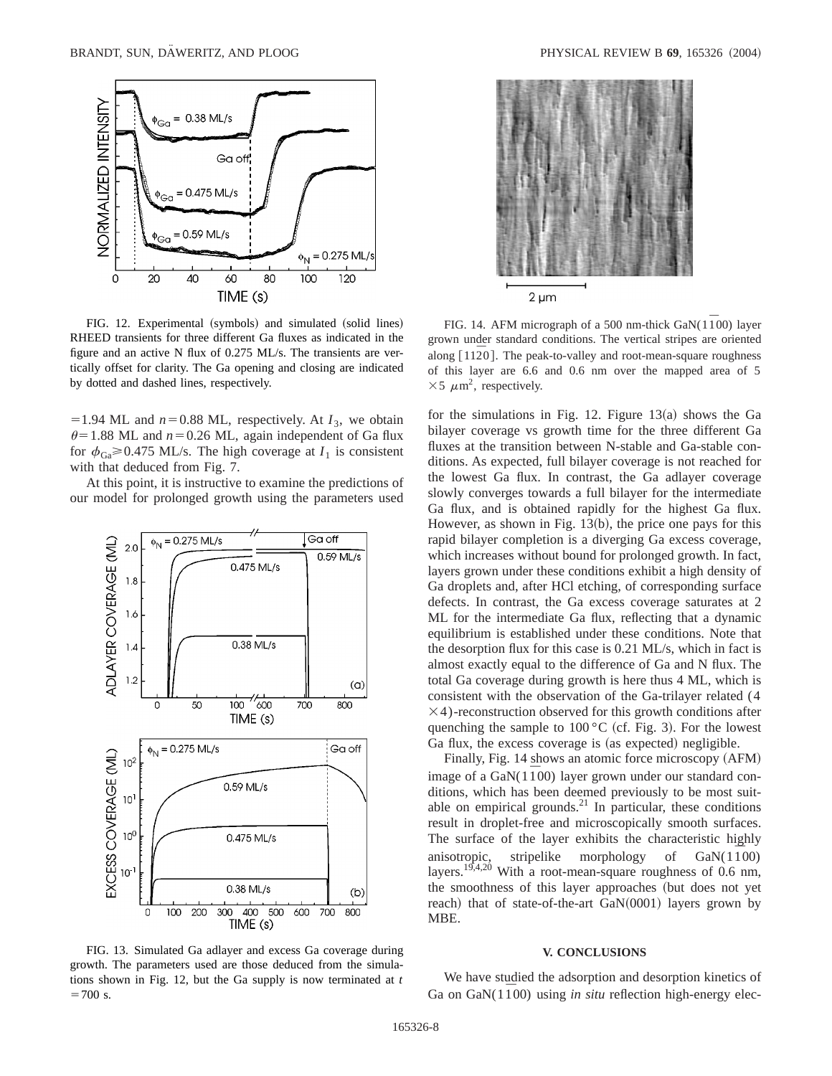

FIG. 12. Experimental (symbols) and simulated (solid lines) RHEED transients for three different Ga fluxes as indicated in the figure and an active N flux of 0.275 ML/s. The transients are vertically offset for clarity. The Ga opening and closing are indicated by dotted and dashed lines, respectively.

 $=1.94$  ML and  $n=0.88$  ML, respectively. At  $I_3$ , we obtain  $\theta$ =1.88 ML and  $n=0.26$  ML, again independent of Ga flux for  $\phi_{Ga} \ge 0.475$  ML/s. The high coverage at  $I_1$  is consistent with that deduced from Fig. 7.

At this point, it is instructive to examine the predictions of our model for prolonged growth using the parameters used



FIG. 13. Simulated Ga adlayer and excess Ga coverage during growth. The parameters used are those deduced from the simulations shown in Fig. 12, but the Ga supply is now terminated at *t*  $=700$  s.



FIG. 14. AFM micrograph of a 500 nm-thick GaN(11*¯*00) layer grown under standard conditions. The vertical stripes are oriented along [1120]. The peak-to-valley and root-mean-square roughness of this layer are 6.6 and 0.6 nm over the mapped area of 5  $\times$  5  $\mu$ m<sup>2</sup>, respectively.

for the simulations in Fig. 12. Figure  $13(a)$  shows the Ga bilayer coverage vs growth time for the three different Ga fluxes at the transition between N-stable and Ga-stable conditions. As expected, full bilayer coverage is not reached for the lowest Ga flux. In contrast, the Ga adlayer coverage slowly converges towards a full bilayer for the intermediate Ga flux, and is obtained rapidly for the highest Ga flux. However, as shown in Fig.  $13(b)$ , the price one pays for this rapid bilayer completion is a diverging Ga excess coverage, which increases without bound for prolonged growth. In fact, layers grown under these conditions exhibit a high density of Ga droplets and, after HCl etching, of corresponding surface defects. In contrast, the Ga excess coverage saturates at 2 ML for the intermediate Ga flux, reflecting that a dynamic equilibrium is established under these conditions. Note that the desorption flux for this case is 0.21 ML/s, which in fact is almost exactly equal to the difference of Ga and N flux. The total Ga coverage during growth is here thus 4 ML, which is consistent with the observation of the Ga-trilayer related (4  $\times$ 4)-reconstruction observed for this growth conditions after quenching the sample to  $100^{\circ}$ C (cf. Fig. 3). For the lowest Ga flux, the excess coverage is (as expected) negligible.

Finally, Fig. 14 shows an atomic force microscopy (AFM) image of a GaN( $1100$ ) layer grown under our standard conditions, which has been deemed previously to be most suitable on empirical grounds. $^{21}$  In particular, these conditions result in droplet-free and microscopically smooth surfaces. The surface of the layer exhibits the characteristic highly anisotropic, stripelike morphology of  $GaN(1100)$ layers.<sup>19,4,20</sup> With a root-mean-square roughness of 0.6 nm, the smoothness of this layer approaches (but does not yet reach) that of state-of-the-art  $GaN(0001)$  layers grown by MBE.

#### **V. CONCLUSIONS**

We have studied the adsorption and desorption kinetics of Ga on GaN(1100) using *in situ* reflection high-energy elec